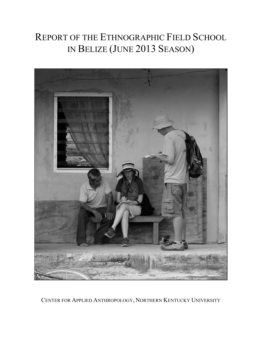# REPORT OF THE ETHNOGRAPHIC FIELD SCHOOL IN BELIZE (JUNE 2013 SEASON)



CENTER FOR APPLIED ANTHROPOLOGY, NORTHERN KENTUCKY UNIVERSITY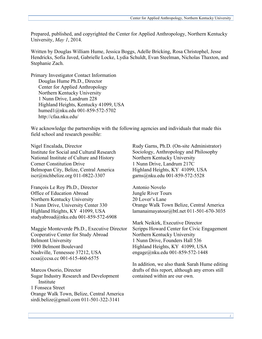Prepared, published, and copyrighted the Center for Applied Anthropology, Northern Kentucky University, *May 1*, 2014.

Written by Douglas William Hume, Jessica Boggs, Adelle Bricking, Rosa Christophel, Jesse Hendricks, Sofia Javed, Gabrielle Locke, Lydia Schuldt, Evan Steelman, Nicholas Thaxton, and Stephanie Zach.

Primary Investigator Contact Information Douglas Hume Ph.D., Director Center for Applied Anthropology Northern Kentucky University 1 Nunn Drive, Landrum 228 Highland Heights, Kentucky 41099, USA humed1@nku.edu 001-859-572-5702 http://cfaa.nku.edu/

We acknowledge the partnerships with the following agencies and individuals that made this field school and research possible:

Nigel Encalada, Director Institute for Social and Cultural Research National Institute of Culture and History Corner Constitution Drive Belmopan City, Belize, Central America iscr@nichbelize.org 011-0822-3307

François Le Roy Ph.D., Director Office of Education Abroad Northern Kentucky University 1 Nunn Drive, University Center 330 Highland Heights, KY 41099, USA studyabroad@nku.edu 001-859-572-6908

Maggie Monteverde Ph.D., Executive Director Cooperative Center for Study Abroad Belmont University 1900 Belmont Boulevard Nashville, Tennessee 37212, USA ccsa@ccsa.cc 001-615-460-6575

Marcos Osorio, Director Sugar Industry Research and Development Institute 1 Fonseca Street Orange Walk Town, Belize, Central America sirdi.belize@gmail.com 011-501-322-3141

Rudy Garns, Ph.D. (On-site Administrator) Sociology, Anthropology and Philosophy Northern Kentucky University 1 Nunn Drive, Landrum 217C Highland Heights, KY 41099, USA garns@nku.edu 001-859-572-5528

Antonio Novelo Jungle River Tours 20 Lover's Lane Orange Walk Town Belize, Central America lamanaimayatour@btl.net 011-501-670-3035

Mark Neikirk, Executive Director Scripps Howard Center for Civic Engagement Northern Kentucky University 1 Nunn Drive, Founders Hall 536 Highland Heights, KY 41099, USA engage@nku.edu 001-859-572-1448

In addition, we also thank Sarah Hume editing drafts of this report, although any errors still contained within are our own.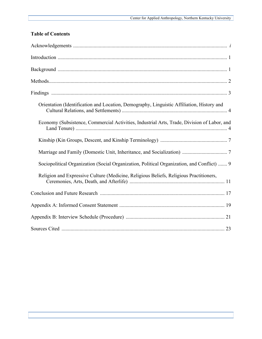# **Table of Contents**

| Orientation (Identification and Location, Demography, Linguistic Affiliation, History and   |
|---------------------------------------------------------------------------------------------|
| Economy (Subsistence, Commercial Activities, Industrial Arts, Trade, Division of Labor, and |
|                                                                                             |
|                                                                                             |
| Sociopolitical Organization (Social Organization, Political Organization, and Conflict)  9  |
| Religion and Expressive Culture (Medicine, Religious Beliefs, Religious Practitioners,      |
|                                                                                             |
|                                                                                             |
|                                                                                             |
|                                                                                             |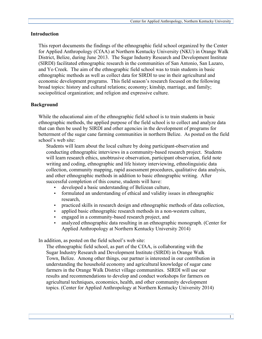#### **Introduction**

This report documents the findings of the ethnographic field school organized by the Center for Applied Anthropology (CfAA) at Northern Kentucky University (NKU) in Orange Walk District, Belize, during June 2013. The Sugar Industry Research and Development Institute (SIRDI) facilitated ethnographic research in the communities of San Antonio, San Lazaro, and Yo Creek. The aim of the ethnographic field school was to train students in basic ethnographic methods as well as collect data for SIRDI to use in their agricultural and economic development programs. This field season's research focused on the following broad topics: history and cultural relations; economy; kinship, marriage, and family; sociopolitical organization; and religion and expressive culture.

# **Background**

While the educational aim of the ethnographic field school is to train students in basic ethnographic methods, the applied purpose of the field school is to collect and analyze data that can then be used by SIRDI and other agencies in the development of programs for betterment of the sugar cane farming communities in northern Belize. As posted on the field school's web site:

Students will learn about the local culture by doing participant-observation and conducting ethnographic interviews in a community-based research project. Students will learn research ethics, unobtrusive observation, participant observation, field note writing and coding, ethnographic and life history interviewing, ethnolinguistic data collection, community mapping, rapid assessment procedures, qualitative data analysis, and other ethnographic methods in addition to basic ethnographic writing. After successful completion of this course, students will have:

- developed a basic understanding of Belizean culture,
- formulated an understanding of ethical and validity issues in ethnographic research,
- practiced skills in research design and ethnographic methods of data collection,
- applied basic ethnographic research methods in a non-western culture,
- engaged in a community-based research project, and
- analyzed ethnographic data resulting in an ethnographic monograph. (Center for Applied Anthropology at Northern Kentucky University 2014)

In addition, as posted on the field school's web site:

The ethnographic field school, as part of the CfAA, is collaborating with the Sugar Industry Research and Development Institute (SIRDI) in Orange Walk Town, Belize. Among other things, our partner is interested in our contribution in understanding the household economy and agricultural knowledge of sugar cane farmers in the Orange Walk District village communities. SIRDI will use our results and recommendations to develop and conduct workshops for farmers on agricultural techniques, economics, health, and other community development topics. (Center for Applied Anthropology at Northern Kentucky University 2014)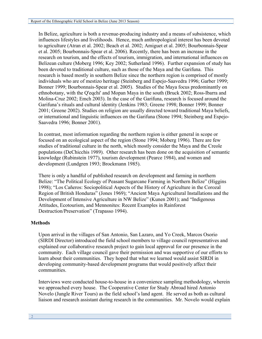In Belize, agriculture is both a revenue-producing industry and a means of subsistence, which influences lifestyles and livelihoods. Hence, much anthropological interest has been devoted to agriculture (Atran et al. 2002; Beach et al. 2002; Amiguet et al. 2005; Bourbonnais-Spear et al. 2005; Bourbonnais-Spear et al. 2006). Recently, there has been an increase in the research on tourism, and the effects of tourism, immigration, and international influences on Belizean culture (Moberg 1996; Key 2002; Sutherland 1996). Further expansion of study has been devoted to traditional culture, such as those of the Maya and the Garifuna. This research is based mostly in southern Belize since the northern region is comprised of mostly individuals who are of mestizo heritage (Steinberg and Espejo-Saavedra 1996; Garber 1999; Bonner 1999; Bourbonnais-Spear et al. 2005). Studies of the Maya focus predominantly on ethnobotany, with the Q'eqchi' and Mopan Maya in the south (Bruck 2002; Ross-Ibarra and Molina-Cruz 2002; Emch 2003). In the case of the Garifuna, research is focused around the Garifuna's rituals and cultural identity (Jenkins 1983; Greene 1998; Bonner 1999; Bonner 2001; Greene 2002). Studies on religion are usually directed toward traditional Maya beliefs, or international and linguistic influences on the Garifuna (Stone 1994; Steinberg and Espejo-Saavedra 1996; Bonner 2001).

In contrast, most information regarding the northern region is either general in scope or focused on an ecological aspect of the region (Stone 1994; Moberg 1996). There are few studies of traditional culture in the north, which mostly consider the Maya and the Creole populations (DeChicchis 1989). Other research has been done on the acquisition of semantic knowledge (Rubinstein 1977), tourism development (Pearce 1984), and women and development (Lundgren 1993; Brockmann 1985).

There is only a handful of published research on development and farming in northern Belize: "The Political Ecology of Peasant Sugarcane Farming in Northern Belize" (Higgins 1998); "Los Cañeros: Sociopolitical Aspects of the History of Agriculture in the Corozal Region of British Honduras" (Jones 1969); "Ancient Maya Agricultural Installations and the Development of Intensive Agriculture in NW Belize" (Kunen 2001); and "Indigenous Attitudes, Ecotourism, and Mennonites: Recent Examples in Rainforest Destruction/Preservation" (Trapasso 1994).

# **Methods**

Upon arrival in the villages of San Antonio, San Lazaro, and Yo Creek, Marcos Osorio (SIRDI Director) introduced the field school members to village council representatives and explained our collaborative research project to gain local approval for our presence in the community. Each village council gave their permission and was supportive of our efforts to learn about their communities. They hoped that what we learned would assist SIRDI in developing community-based development programs that would positively affect their communities.

Interviews were conducted house-to-house in a convenience sampling methodology, wherein we approached every house. The Cooperative Center for Study Abroad hired Antonio Novelo (Jungle River Tours) as the field school's land agent. He served as both as cultural liaison and research assistant during research in the communities. Mr. Novelo would explain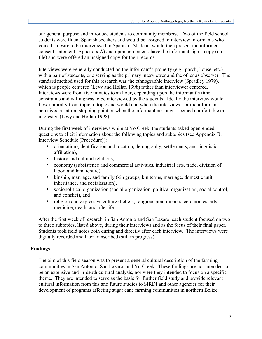our general purpose and introduce students to community members. Two of the field school students were fluent Spanish speakers and would be assigned to interview informants who voiced a desire to be interviewed in Spanish. Students would then present the informed consent statement (Appendix A) and upon agreement, have the informant sign a copy (on file) and were offered an unsigned copy for their records.

Interviews were generally conducted on the informant's property (e.g., porch, house, etc.) with a pair of students, one serving as the primary interviewer and the other as observer. The standard method used for this research was the ethnographic interview (Spradley 1979), which is people centered (Levy and Hollan 1998) rather than interviewer centered. Interviews were from five minutes to an hour, depending upon the informant's time constraints and willingness to be interviewed by the students. Ideally the interview would flow naturally from topic to topic and would end when the interviewer or the informant perceived a natural stopping point or when the informant no longer seemed comfortable or interested (Levy and Hollan 1998).

During the first week of interviews while at Yo Creek, the students asked open-ended questions to elicit information about the following topics and subtopics (see Appendix B: Interview Schedule [Procedure]):

- orientation (identification and location, demography, settlements, and linguistic affiliation),
- history and cultural relations,
- economy (subsistence and commercial activities, industrial arts, trade, division of labor, and land tenure),
- kinship, marriage, and family (kin groups, kin terms, marriage, domestic unit, inheritance, and socialization),
- sociopolitical organization (social organization, political organization, social control, and conflict), and
- religion and expressive culture (beliefs, religious practitioners, ceremonies, arts, medicine, death, and afterlife).

After the first week of research, in San Antonio and San Lazaro, each student focused on two to three subtopics, listed above, during their interviews and as the focus of their final paper. Students took field notes both during and directly after each interview. The interviews were digitally recorded and later transcribed (still in progress).

# **Findings**

The aim of this field season was to present a general cultural description of the farming communities in San Antonio, San Lazaro, and Yo Creek. These findings are not intended to be an extensive and in-depth cultural analysis, nor were they intended to focus on a specific theme. They are intended to serve as the basis for further field study and provide relevant cultural information from this and future studies to SIRDI and other agencies for their development of programs affecting sugar cane farming communities in northern Belize.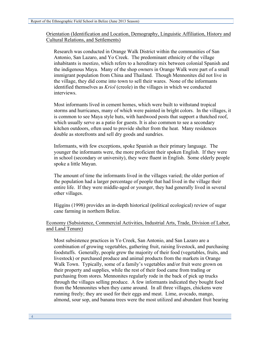Orientation (Identification and Location, Demography, Linguistic Affiliation, History and Cultural Relations, and Settlements)

Research was conducted in Orange Walk District within the communities of San Antonio, San Lazaro, and Yo Creek. The predominant ethnicity of the village inhabitants is mestizo, which refers to a hereditary mix between colonial Spanish and the indigenous Maya. Many of the shop owners in Orange Walk were part of a small immigrant population from China and Thailand. Though Mennonites did not live in the village, they did come into town to sell their wares. None of the informants identified themselves as *Kriol* (creole) in the villages in which we conducted interviews.

Most informants lived in cement homes, which were built to withstand tropical storms and hurricanes, many of which were painted in bright colors. In the villages, it is common to see Maya style huts, with hardwood posts that support a thatched roof, which usually serve as a patio for guests. It is also common to see a secondary kitchen outdoors, often used to provide shelter from the heat. Many residences double as storefronts and sell dry goods and sundries.

Informants, with few exceptions, spoke Spanish as their primary language. The younger the informants were, the more proficient their spoken English. If they were in school (secondary or university), they were fluent in English. Some elderly people spoke a little Mayan.

The amount of time the informants lived in the villages varied; the older portion of the population had a larger percentage of people that had lived in the village their entire life. If they were middle-aged or younger, they had generally lived in several other villages.

Higgins (1998) provides an in-depth historical (political ecological) review of sugar cane farming in northern Belize.

# Economy (Subsistence, Commercial Activities, Industrial Arts, Trade, Division of Labor, and Land Tenure)

Most subsistence practices in Yo Creek, San Antonio, and San Lazaro are a combination of growing vegetables, gathering fruit, raising livestock, and purchasing foodstuffs. Generally, people grew the majority of their food (vegetables, fruits, and livestock) or purchased produce and animal products from the markets in Orange Walk Town. Typically, some of a family's vegetables and/or fruit were grown on their property and supplies, while the rest of their food came from trading or purchasing from stores. Mennonites regularly rode in the back of pick up trucks through the villages selling produce. A few informants indicated they bought food from the Mennonites when they came around. In all three villages, chickens were running freely; they are used for their eggs and meat. Lime, avocado, mango, almond, sour sop, and banana trees were the most utilized and abundant fruit bearing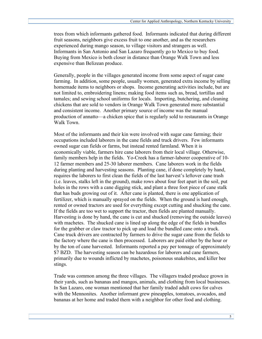trees from which informants gathered food. Informants indicated that during different fruit seasons, neighbors give excess fruit to one another, and as the researchers experienced during mango season, to village visitors and strangers as well. Informants in San Antonio and San Lazaro frequently go to Mexico to buy food. Buying from Mexico is both closer in distance than Orange Walk Town and less expensive than Belizean produce.

Generally, people in the villages generated income from some aspect of sugar cane farming. In addition, some people, usually women, generated extra income by selling homemade items to neighbors or shops. Income generating activities include, but are not limited to, embroidering linens; making food items such as, bread, tortillas and tamales; and sewing school uniforms for locals. Importing, butchering, and cleaning chickens that are sold to vendors in Orange Walk Town generated more substantial and consistent income. Another primary source of income was the manual production of annatto—a chicken spice that is regularly sold to restaurants in Orange Walk Town.

Most of the informants and their kin were involved with sugar cane farming; their occupations included laborers in the cane fields and truck drivers. Few informants owned sugar can fields or farms, but instead rented farmland. When it is economically viable, farmers hire cane laborers from their local village. Otherwise, family members help in the fields. Yo-Creek has a farmer-laborer cooperative of 10- 12 farmer members and 25-30 laborer members. Cane laborers work in the fields during planting and harvesting seasons. Planting cane, if done completely by hand, requires the laborers to first clean the fields of the last harvest's leftover cane trash (i.e. leaves, stalks left in the ground), make rows about four feet apart in the soil, put holes in the rows with a cane digging stick, and plant a three foot piece of cane stalk that has buds growing out of it. After cane is planted, there is one application of fertilizer, which is manually sprayed on the fields. When the ground is hard enough, rented or owned tractors are used for everything except cutting and shucking the cane. If the fields are too wet to support the tractor, then fields are planted manually. Harvesting is done by hand, the cane is cut and shucked (removing the outside leaves) with machetes. The shucked cane is lined up along the edge of the fields in bundles for the grabber or claw tractor to pick up and load the bundled cane onto a truck. Cane truck drivers are contracted by farmers to drive the sugar cane from the fields to the factory where the cane is then processed. Laborers are paid either by the hour or by the ton of cane harvested. Informants reported a pay per tonnage of approximately \$7 BZD. The harvesting season can be hazardous for laborers and cane farmers, primarily due to wounds inflicted by machetes, poisonous snakebites, and killer bee stings.

Trade was common among the three villages. The villagers traded produce grown in their yards, such as bananas and mangos, animals, and clothing from local businesses. In San Lazaro, one woman mentioned that her family traded adult cows for calves with the Mennonites. Another informant grew pineapples, tomatoes, avocados, and bananas at her home and traded them with a neighbor for other food and clothing.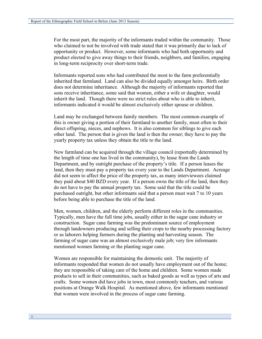For the most part, the majority of the informants traded within the community. Those who claimed to not be involved with trade stated that it was primarily due to lack of opportunity or product. However, some informants who had both opportunity and product elected to give away things to their friends, neighbors, and families, engaging in long-term reciprocity over short-term trade.

Informants reported sons who had contributed the most to the farm preferentially inherited that farmland. Land can also be divided equally amongst heirs. Birth order does not determine inheritance. Although the majority of informants reported that sons receive inheritance, some said that women, either a wife or daughter, would inherit the land. Though there were no strict rules about who is able to inherit, informants indicated it would be almost exclusively either spouse or children.

Land may be exchanged between family members. The most common example of this is owner giving a portion of their farmland to another family, most often to their direct offspring, nieces, and nephews. It is also common for siblings to give each other land. The person that is given the land is then the owner; they have to pay the yearly property tax unless they obtain the title to the land.

New farmland can be acquired through the village council (reportedly determined by the length of time one has lived in the community), by lease from the Lands Department, and by outright purchase of the property's title. If a person leases the land, then they must pay a property tax every year to the Lands Department. Acreage did not seem to affect the price of the property tax, as many interviewees claimed they paid about \$40 BZD every year. If a person owns the title of the land, then they do not have to pay the annual property tax. Some said that the title could be purchased outright, but other informants said that a person must wait 7 to 10 years before being able to purchase the title of the land.

Men, women, children, and the elderly perform different roles in the communities. Typically, men have the full time jobs, usually either in the sugar cane industry or construction. Sugar cane farming was the predominant source of employment through landowners producing and selling their crops to the nearby processing factory or as laborers helping farmers during the planting and harvesting season. The farming of sugar cane was an almost exclusively male job; very few informants mentioned women farming or the planting sugar cane.

Women are responsible for maintaining the domestic unit. The majority of informants responded that women do not usually have employment out of the home; they are responsible of taking care of the home and children. Some women made products to sell in their communities, such as baked goods as well as types of arts and crafts. Some women did have jobs in town, most commonly teachers, and various positions at Orange Walk Hospital. As mentioned above, few informants mentioned that women were involved in the process of sugar cane farming.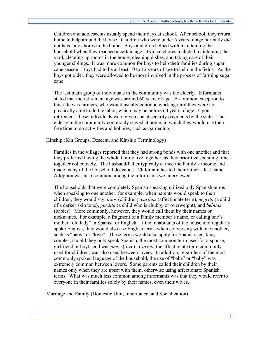Children and adolescents usually spend their days at school. After school, they return home to help around the house. Children who were under 5 years of age normally did not have any chores in the home. Boys and girls helped with maintaining the household when they reached a certain age. Typical chores included maintaining the yard, cleaning up rooms in the house, cleaning dishes, and taking care of their younger siblings. It was more common for boys to help their families during sugar cane season. Boys had to be at least 10 to 12 years of age to help in the fields. As the boys got older, they were allowed to be more involved in the process of farming sugar cane.

The last main group of individuals in the community was the elderly. Informants stated that the retirement age was around 60 years of age. A common exception to this rule was farmers, who would usually continue working until they were not physically able to do the labor, which may be before 60 years of age. Upon retirement, these individuals were given social security payments by the state. The elderly in the community commonly stayed at home, in which they would use their free time to do activities and hobbies, such as gardening.

# Kinship (Kin Groups, Descent, and Kinship Terminology)

Families in the villages reported that they had strong bonds with one another and that they preferred having the whole family live together, as they prioritize spending time together collectively. The husband/father typically earned the family's income and made many of the household decisions. Children inherited their father's last name. Adoption was also common among the informants we interviewed.

The households that were completely Spanish speaking utilized only Spanish terms when speaking to one another; for example, when parents would speak to their children, they would say, *hijos* (children), *cariños* (affectionate term), *negrito* (a child of a darker skin tone), *gordita* (a child who is chubby or overweight), and *bebitas* (babies). More commonly, however, they would call them by their names or nicknames. For example, a fragment of a family member's name, or calling one's mother "old lady" in Spanish or English. If the inhabitants of the household regularly spoke English, they would also use English terms when conversing with one another, such as "baby" or "love". These terms would also apply for Spanish-speaking couples; should they only speak Spanish, the most common term used for a spouse, girlfriend or boyfriend was *amor* (love). *Cariño*, the affectionate term commonly used for children, was also used between lovers. In addition, regardless of the most commonly spoken language of the household, the use of "babe" or "baby" was extremely common between lovers. Some parents called their children by their names only when they are upset with them, otherwise using affectionate Spanish terms. What was much less common among informants was that they would refer to everyone in their families solely by their names, even their wives.

Marriage and Family (Domestic Unit, Inheritance, and Socialization)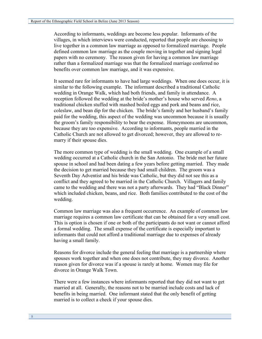According to informants, weddings are become less popular. Informants of the villages, in which interviews were conducted, reported that people are choosing to live together in a common law marriage as opposed to formalized marriage. People defined common law marriage as the couple moving in together and signing legal papers with no ceremony. The reason given for having a common law marriage rather than a formalized marriage was that the formalized marriage conferred no benefits over common law marriage, and it was expensive.

It seemed rare for informants to have had large weddings. When one does occur, it is similar to the following example. The informant described a traditional Catholic wedding in Orange Walk, which had both friends, and family in attendance. A reception followed the wedding at the bride's mother's house who served *Reno*, a traditional chicken stuffed with mashed boiled eggs and pork and beans and rice, coleslaw, and bean dip for the chicken. The bride's family and her husband's family paid for the wedding, this aspect of the wedding was uncommon because it is usually the groom's family responsibility to bear the expense. Honeymoons are uncommon, because they are too expensive. According to informants, people married in the Catholic Church are not allowed to get divorced; however, they are allowed to remarry if their spouse dies.

The more common type of wedding is the small wedding. One example of a small wedding occurred at a Catholic church in the San Antonio. The bride met her future spouse in school and had been dating a few years before getting married. They made the decision to get married because they had small children. The groom was a Seventh Day Adventist and his bride was Catholic, but they did not see this as a conflict and they agreed to be married in the Catholic Church. Villagers and family came to the wedding and there was not a party afterwards. They had "Black Dinner" which included chicken, beans, and rice. Both families contributed to the cost of the wedding.

Common law marriage was also a frequent occurrence. An example of common law marriage requires a common law certificate that can be obtained for a very small cost. This is option is chosen if one or both of the participants do not want or cannot afford a formal wedding. The small expense of the certificate is especially important to informants that could not afford a traditional marriage due to expenses of already having a small family.

Reasons for divorce include the general feeling that marriage is a partnership where spouses work together and when one does not contribute, they may divorce. Another reason given for divorce was if a spouse is rarely at home. Women may file for divorce in Orange Walk Town.

There were a few instances where informants reported that they did not want to get married at all. Generally, the reasons not to be married include costs and lack of benefits in being married. One informant stated that the only benefit of getting married is to collect a check if your spouse dies.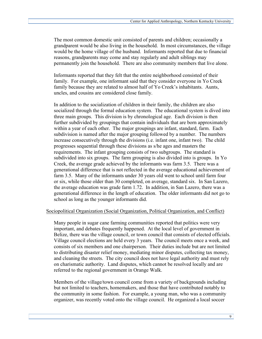The most common domestic unit consisted of parents and children; occasionally a grandparent would be also living in the household. In most circumstances, the village would be the home village of the husband. Informants reported that due to financial reasons, grandparents may come and stay regularly and adult siblings may permanently join the household. There are also community members that live alone.

Informants reported that they felt that the entire neighborhood consisted of their family. For example, one informant said that they consider everyone in Yo Creek family because they are related to almost half of Yo Creek's inhabitants. Aunts, uncles, and cousins are considered close family.

In addition to the socialization of children in their family, the children are also socialized through the formal education system. The educational system is dived into three main groups. This division is by chronological age. Each division is then further subdivided by groupings that contain individuals that are born approximately within a year of each other. The major groupings are infant, standard, farm. Each subdivision is named after the major grouping followed by a number. The numbers increase consecutively through the divisions (i.e. infant one, infant two). The child progresses sequential through these divisions as s/he ages and masters the requirements. The infant grouping consists of two subgroups. The standard is subdivided into six groups. The farm grouping is also divided into is groups. In Yo Creek, the average grade achieved by the informants was farm 3.5. There was a generational difference that is not reflected in the average educational achievement of farm 3.5. Many of the informants under 30 years old went to school until farm four or six, while those older than 30 completed, on average, standard six. In San Lazero, the average education was grade farm 1.72. In addition, in San Lazero, there was a generational difference in the length of education. The older informants did not go to school as long as the younger informants did.

#### Sociopolitical Organization (Social Organization, Political Organization, and Conflict)

Many people in sugar cane farming communities reported that politics were very important, and debates frequently happened. At the local level of government in Belize, there was the village council, or town council that consists of elected officials. Village council elections are held every 3 years. The council meets once a week, and consists of six members and one chairperson. Their duties include but are not limited to distributing disaster relief money, mediating minor disputes, collecting tax money, and cleaning the streets. The city council does not have legal authority and must rely on charismatic authority. Land disputes, which cannot be resolved locally and are referred to the regional government in Orange Walk.

Members of the village/town council come from a variety of backgrounds including but not limited to teachers, homemakers, and those that have contributed notably to the community in some fashion. For example, a young man, who was a community organizer, was recently voted onto the village council. He organized a local soccer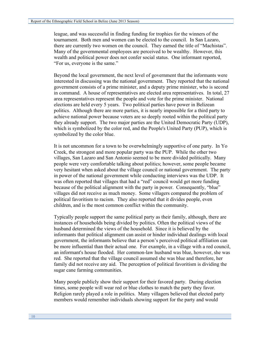league, and was successful in finding funding for trophies for the winners of the tournament. Both men and women can be elected to the council. In San Lazaro, there are currently two women on the council. They earned the title of "Machistas". Many of the governmental employees are perceived to be wealthy. However, this wealth and political power does not confer social status. One informant reported, "For us, everyone is the same."

Beyond the local government, the next level of government that the informants were interested in discussing was the national government. They reported that the national government consists of a prime minister, and a deputy prime minister, who is second in command. A house of representatives are elected area representatives. In total, 27 area representatives represent the people and vote for the prime minister. National elections are held every 5 years. Two political parties have power in Belizean politics. Although there are more parties, it is nearly impossible for a third party to achieve national power because voters are so deeply rooted within the political party they already support. The two major parties are the United Democratic Party (UDP), which is symbolized by the color red, and the People's United Party (PUP), which is symbolized by the color blue.

It is not uncommon for a town to be overwhelmingly supportive of one party. In Yo Creek, the strongest and more popular party was the PUP. While the other two villages, San Lazaro and San Antonio seemed to be more divided politically. Many people were very comfortable talking about politics; however, some people became very hesitant when asked about the village council or national government. The party in power of the national government while conducting interviews was the UDP. It was often reported that villages that had a "red" council would get more funding because of the political alignment with the party in power. Consequently, "blue" villages did not receive as much money. Some villagers compared the problem of political favoritism to racism. They also reported that it divides people, even children, and is the most common conflict within the community.

Typically people support the same political party as their family, although, there are instances of households being divided by politics. Often the political views of the husband determined the views of the household. Since it is believed by the informants that political alignment can assist or hinder individual dealings with local government, the informants believe that a person's perceived political affiliation can be more influential than their actual one. For example, in a village with a red council, an informant's house flooded. Her common-law husband was blue, however, she was red. She reported that the village council assumed she was blue and therefore, her family did not receive any aid. The perception of political favoritism is dividing the sugar cane farming communities.

Many people publicly show their support for their favored party. During election times, some people will wear red or blue clothes to match the party they favor. Religion rarely played a role in politics. Many villagers believed that elected party members would remember individuals showing support for the party and would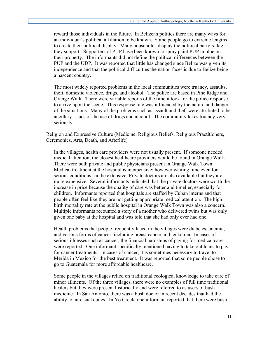reward those individuals in the future. In Belizean politics there are many ways for an individual's political affiliation to be known. Some people go to extreme lengths to create their political display. Many households display the political party's flag they support. Supporters of PUP have been known to spray paint PUP in blue on their property. The informants did not define the political differences between the PUP and the UDP. It was reported that little has changed since Belize was given its independence and that the political difficulties the nation faces is due to Belize being a nascent country.

The most widely reported problems in the local communities were truancy, assaults, theft, domestic violence, drugs, and alcohol. The police are based in Pine Ridge and Orange Walk. There were variable reports of the time it took for the police response to arrive upon the scene. This response rate was influenced by the nature and danger of the situations. Many of the problems such as assault and theft were attributed to be ancillary issues of the use of drugs and alcohol. The community takes truancy very seriously.

# Religion and Expressive Culture (Medicine, Religious Beliefs, Religious Practitioners, Ceremonies, Arts, Death, and Afterlife)

In the villages, health care providers were not usually present. If someone needed medical attention, the closest healthcare providers would be found in Orange Walk. There were both private and public physicians present in Orange Walk Town. Medical treatment at the hospital is inexpensive; however waiting time even for serious conditions can be extensive. Private doctors are also available but they are more expensive. Several informants indicated that the private doctors were worth the increase in price because the quality of care was better and timelier, especially for children. Informants reported that hospitals are staffed by Cuban interns and that people often feel like they are not getting appropriate medical attention. The high birth mortality rate at the public hospital in Orange Walk Town was also a concern. Multiple informants recounted a story of a mother who delivered twins but was only given one baby at the hospital and was told that she had only ever had one.

Health problems that people frequently faced in the villages were diabetes, anemia, and various forms of cancer, including breast cancer and leukemia. In cases of serious illnesses such as cancer, the financial hardships of paying for medical care were reported. One informant specifically mentioned having to take out loans to pay for cancer treatments. In cases of cancer, it is sometimes necessary to travel to Merida in Mexico for the best treatment. It was reported that some people chose to go to Guatemala for more affordable healthcare.

Some people in the villages relied on traditional ecological knowledge to take care of minor ailments. Of the three villages, there were no examples of full time traditional healers but they were present historically and were referred to as users of bush medicine. In San Antonio, there was a bush doctor in recent decades that had the ability to cure snakebites. In Yo Creek, one informant reported that there were bush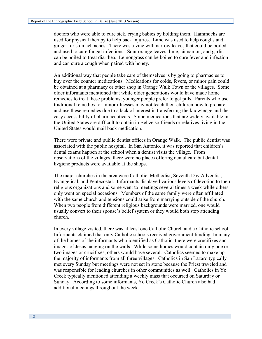doctors who were able to cure sick, crying babies by holding them. Hammocks are used for physical therapy to help back injuries. Lime was used to help coughs and ginger for stomach aches. There was a vine with narrow leaves that could be boiled and used to cure fungal infections. Sour orange leaves, lime, cinnamon, and garlic can be boiled to treat diarrhea. Lemongrass can be boiled to cure fever and infection and can cure a cough when paired with honey.

An additional way that people take care of themselves is by going to pharmacies to buy over the counter medications. Medications for colds, fevers, or minor pain could be obtained at a pharmacy or other shop in Orange Walk Town or the villages. Some older informants mentioned that while older generations would have made home remedies to treat these problems, younger people prefer to get pills. Parents who use traditional remedies for minor illnesses may not teach their children how to prepare and use these remedies due to a lack of interest in transferring the knowledge and the easy accessibility of pharmaceuticals. Some medications that are widely available in the United States are difficult to obtain in Belize so friends or relatives living in the United States would mail back medication.

There were private and public dentist offices in Orange Walk. The public dentist was associated with the public hospital. In San Antonio, it was reported that children's dental exams happen at the school when a dentist visits the village. From observations of the villages, there were no places offering dental care but dental hygiene products were available at the shops.

The major churches in the area were Catholic, Methodist, Seventh Day Adventist, Evangelical, and Pentecostal. Informants displayed various levels of devotion to their religious organizations and some went to meetings several times a week while others only went on special occasions. Members of the same family were often affiliated with the same church and tensions could arise from marrying outside of the church. When two people from different religious backgrounds were married, one would usually convert to their spouse's belief system or they would both stop attending church.

In every village visited, there was at least one Catholic Church and a Catholic school. Informants claimed that only Catholic schools received government funding. In many of the homes of the informants who identified as Catholic, there were crucifixes and images of Jesus hanging on the walls. While some homes would contain only one or two images or crucifixes, others would have several. Catholics seemed to make up the majority of informants from all three villages. Catholics in San Lazaro typically met every Sunday but meetings were not set in stone because the Priest traveled and was responsible for leading churches in other communities as well. Catholics in Yo Creek typically mentioned attending a weekly mass that occurred on Saturday or Sunday. According to some informants, Yo Creek's Catholic Church also had additional meetings throughout the week.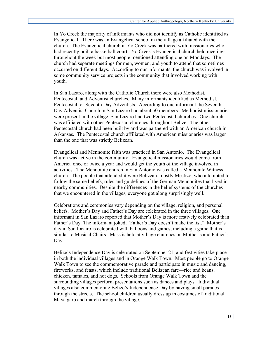In Yo Creek the majority of informants who did not identify as Catholic identified as Evangelical. There was an Evangelical school in the village affiliated with the church. The Evangelical church in Yo Creek was partnered with missionaries who had recently built a basketball court. Yo Creek's Evangelical church held meetings throughout the week but most people mentioned attending one on Mondays. The church had separate meetings for men, women, and youth to attend that sometimes occurred on different days. According to our informants, the church was involved in some community service projects in the community that involved working with youth.

In San Lazaro, along with the Catholic Church there were also Methodist, Pentecostal, and Adventist churches. Many informants identified as Methodist, Pentecostal, or Seventh Day Adventists. According to one informant the Seventh Day Adventist Church in San Lazaro had about 50 members. Methodist missionaries were present in the village. San Lazaro had two Pentecostal churches. One church was affiliated with other Pentecostal churches throughout Belize. The other Pentecostal church had been built by and was partnered with an American church in Arkansas. The Pentecostal church affiliated with American missionaries was larger than the one that was strictly Belizean.

Evangelical and Mennonite faith was practiced in San Antonio. The Evangelical church was active in the community. Evangelical missionaries would come from America once or twice a year and would get the youth of the village involved in activities. The Mennonite church in San Antonio was called a Mennonite Witness church. The people that attended it were Belizean, mostly Mestizo, who attempted to follow the same beliefs, rules and guidelines of the German Mennonites that lived in nearby communities. Despite the differences in the belief systems of the churches that we encountered in the villages, everyone got along surprisingly well.

Celebrations and ceremonies vary depending on the village, religion, and personal beliefs. Mother's Day and Father's Day are celebrated in the three villages. One informant in San Lazaro reported that Mother's Day is more festively celebrated than Father's Day. The informant joked, "Father's Day doesn't make the list." Mother's day in San Lazaro is celebrated with balloons and games, including a game that is similar to Musical Chairs. Mass is held at village churches on Mother's and Father's Day.

Belize's Independence Day is celebrated on September 21, and festivities take place in both the individual villages and in Orange Walk Town. Most people go to Orange Walk Town to see the commemorative parade and participate in music and dancing, fireworks, and feasts, which include traditional Belizean fare—rice and beans, chicken, tamales, and hot dogs. Schools from Orange Walk Town and the surrounding villages perform presentations such as dances and plays. Individual villages also commemorate Belize's Independence Day by having small parades through the streets. The school children usually dress up in costumes of traditional Maya garb and march through the village.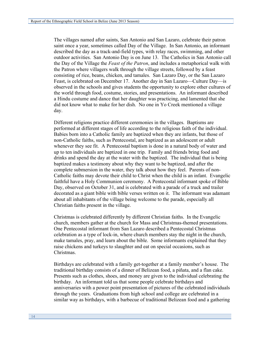The villages named after saints, San Antonio and San Lazaro, celebrate their patron saint once a year, sometimes called Day of the Village. In San Antonio, an informant described the day as a track-and-field types, with relay races, swimming, and other outdoor activities. San Antonio Day is on June 13. The Catholics in San Antonio call the Day of the Village the *Feast of the Patron*, and includes a metaphorical walk with the Patron where villagers walk through the village streets, followed by a feast consisting of rice, beans, chicken, and tamales. San Lazaro Day, or the San Lazaro Feast, is celebrated on December 17. Another day in San Lazaro—Culture Day—is observed in the schools and gives students the opportunity to explore other cultures of the world through food, costume, stories, and presentations. An informant described a Hindu costume and dance that her daughter was practicing, and lamented that she did not know what to make for her dish. No one in Yo Creek mentioned a village day.

Different religions practice different ceremonies in the villages. Baptisms are performed at different stages of life according to the religious faith of the individual. Babies born into a Catholic family are baptized when they are infants, but those of non-Catholic faiths, such as Pentecostal, are baptized as an adolescent or adult whenever they see fit. A Pentecostal baptism is done in a natural body of water and up to ten individuals are baptized in one trip. Family and friends bring food and drinks and spend the day at the water with the baptized. The individual that is being baptized makes a testimony about why they want to be baptized, and after the complete submersion in the water, they talk about how they feel. Parents of non-Catholic faiths may devote their child to Christ when the child is an infant. Evangelic faithful have a Holy Communion ceremony. A Pentecostal informant spoke of Bible Day, observed on October 31, and is celebrated with a parade of a truck and trailer decorated as a giant bible with bible verses written on it. The informant was adamant about all inhabitants of the village being welcome to the parade, especially all Christian faiths present in the village.

Christmas is celebrated differently by different Christian faiths. In the Evangelic church, members gather at the church for Mass and Christmas-themed presentations. One Pentecostal informant from San Lazaro described a Pentecostal Christmas celebration as a type of lock-in, where church members stay the night in the church, make tamales, pray, and learn about the bible. Some informants explained that they raise chickens and turkeys to slaughter and eat on special occasions, such as Christmas.

Birthdays are celebrated with a family get-together at a family member's house. The traditional birthday consists of a dinner of Belizean food, a piñata, and a flan cake. Presents such as clothes, shoes, and money are given to the individual celebrating the birthday. An informant told us that some people celebrate birthdays and anniversaries with a power point presentation of pictures of the celebrated individuals through the years. Graduations from high school and college are celebrated in a similar way as birthdays, with a barbecue of traditional Belizean food and a gathering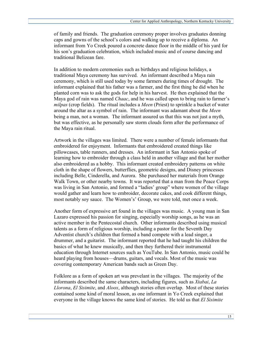of family and friends. The graduation ceremony proper involves graduates donning caps and gowns of the school's colors and walking up to receive a diploma. An informant from Yo Creek poured a concrete dance floor in the middle of his yard for his son's graduation celebration, which included music and of course dancing and traditional Belizean fare.

In addition to modern ceremonies such as birthdays and religious holidays, a traditional Maya ceremony has survived. An informant described a Maya rain ceremony, which is still used today by some farmers during times of drought. The informant explained that his father was a farmer, and the first thing he did when he planted corn was to ask the gods for help in his harvest. He then explained that the Maya god of rain was named *Chaac*, and he was called upon to bring rain to farmer's *milpas* (crop fields). The ritual includes a *Meen* (Priest) to sprinkle a bucket of water around the altar as a symbol of rain. The informant was adamant about the *Meen*  being a man, not a woman. The informant assured us that this was not just a myth, but was effective, as he personally saw storm clouds form after the performance of the Maya rain ritual.

Artwork in the villages was limited. There were a number of female informants that embroidered for enjoyment. Informants that embroidered created things like pillowcases, table runners, and dresses. An informant in San Antonio spoke of learning how to embroider through a class held in another village and that her mother also embroidered as a hobby. This informant created embroidery patterns on white cloth in the shape of flowers, butterflies, geometric designs, and Disney princesses including Belle, Cinderella, and Aurora. She purchased her materials from Orange Walk Town, or other nearby towns. It was reported that a man from the Peace Corps was living in San Antonio, and formed a "ladies' group" where women of the village would gather and learn how to embroider, decorate cakes, and cook different things, most notably soy sauce. The Women's' Group, we were told, met once a week.

Another form of expressive art found in the villages was music. A young man in San Lazaro expressed his passion for singing, especially worship songs, as he was an active member in the Pentecostal church. Other informants described using musical talents as a form of religious worship, including a pastor for the Seventh Day Adventist church's children that formed a band compete with a lead singer, a drummer, and a guitarist. The informant reported that he had taught his children the basics of what he knew musically, and then they furthered their instrumental education through Internet sources such as YouTube. In San Antonio, music could be heard playing from houses—drums, guitars, and vocals. Most of the music was covering contemporary American bands such as Green Day.

Folklore as a form of spoken art was prevelant in the villages. The majority of the informants described the same characters, including figures, such as *Xtabai*, *La Llorona*, *El Sisimite*, and *Aloox*, although stories often overlap. Most of these stories contained some kind of moral lesson, as one informant in Yo Creek explained that everyone in the village knows the same kind of stories. He told us that *El Sisimite*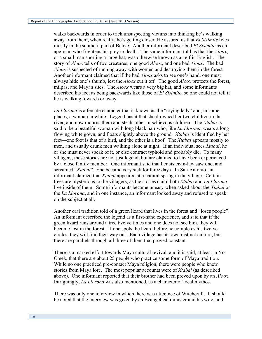walks backwards in order to trick unsuspecting victims into thinking he's walking away from them, when really, he's getting closer. He assured us that *El Sisimite* lives mostly in the southern part of Belize. Another informant described *El Sisimite* as an ape-man who frightens his prey to death. The same informant told us that the *Aloox*, or a small man sporting a large hat, was otherwise known as an elf in English. The story of *Aloox* tells of two creatures; one good *Aloox*, and one bad *Aloox*. The bad *Aloox* is suspected of running away with women and destroying them in the forest. Another informant claimed that if the bad *Aloox* asks to see one's hand, one must always hide one's thumb, lest the *Aloox* cut it off. The good *Aloox* protects the forest, milpas, and Mayan sites. The *Aloox* wears a very big hat, and some informants described his feet as being backwards like those of *El Sisimite*, so one could not tell if he is walking towards or away.

*La Llorona* is a female character that is known as the "crying lady" and, in some places, a woman in white. Legend has it that she drowned her two children in the river, and now mourns them and steals other mischievous children. The *Xtabai* is said to be a beautiful woman with long black hair who, like *La Llorona*, wears a long flowing white gown, and floats slightly above the ground. *Xtabai* is identified by her feet—one foot is that of a bird, and the other is a hoof. The *Xtabai* appears mostly to men, and usually drunk men walking alone at night. If an individual sees *Xtabai*, he or she must never speak of it, or else contract typhoid and probably die. To many villagers, these stories are not just legend, but are claimed to have been experienced by a close family member. One informant said that her sister-in-law saw one, and screamed "*Xtabai*". She became very sick for three days. In San Antonio, an informant claimed that *Xtabai* appeared at a natural spring in the village. Certain trees are mysterious to the villagers, as the stories claim both *Xtabai* and *La Llorona* live inside of them. Some informants became uneasy when asked about the *Xtabai* or the *La Llorona*, and in one instance, an informant looked away and refused to speak on the subject at all.

Another oral tradition told of a green lizard that lives in the forest and "loses people". An informant described the legend as a first-hand experience, and said that if the green lizard runs around a tree twelve times and one does not see him, they will become lost in the forest. If one spots the lizard before he completes his twelve circles, they will find their way out. Each village has its own distinct culture, but there are parallels through all three of them that proved constant.

There is a marked effort towards Maya cultural revival, and it is said, at least in Yo Creek, that there are about 25 people who practice some form of Maya tradition. While no one practiced pre-contact Maya religion, there were people who knew stories from Maya lore. The most popular accounts were of *Xtabai* (as described above). One informant reported that their brother had been preyed upon by an *Aloox*. Intriguingly, *La Llorona* was also mentioned, as a character of local mythos.

There was only one interview in which there was utterance of Witchcraft. It should be noted that the interview was given by an Evangelical minister and his wife, and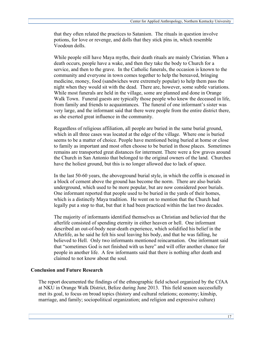that they often related the practices to Satanism. The rituals in question involve potions, for love or revenge, and dolls that they stick pins in, which resemble Voodoun dolls.

While people still have Maya myths, their death rituals are mainly Christian. When a death occurs, people have a wake, and then they take the body to Church for a service, and then to the grave. In the Catholic funerals, the occasion is known to the community and everyone in town comes together to help the bereaved, bringing medicine, money, food (sandwiches were extremely popular) to help them pass the night when they would sit with the dead. There are, however, some subtle variations. While most funerals are held in the village, some are planned and done in Orange Walk Town. Funeral guests are typically those people who knew the deceased in life, from family and friends to acquaintances. The funeral of one informant's sister was very large, and the informant said that there were people from the entire district there, as she exerted great influence in the community.

Regardless of religious affiliation, all people are buried in the same burial ground, which in all three cases was located at the edge of the village. Where one is buried seems to be a matter of choice. People have mentioned being buried at home or close to family as important and most often choose to be buried in those places. Sometimes remains are transported great distances for interment. There were a few graves around the Church in San Antonio that belonged to the original owners of the land. Churches have the holiest ground, but this is no longer allowed due to lack of space.

In the last 50-60 years, the aboveground burial style, in which the coffin is encased in a block of cement above the ground has become the norm. There are also burials underground, which used to be more popular, but are now considered poor burials. One informant reported that people used to be buried in the yards of their homes, which is a distinctly Maya tradition. He went on to mention that the Church had legally put a stop to that, but that it had been practiced within the last two decades.

The majority of informants identified themselves as Christian and believied that the afterlife consisted of spending eternity in either heaven or hell. One informant described an out-of-body near-death experience, which solidified his belief in the Afterlife, as he said he felt his soul leaving his body, and that he was falling, he believed to Hell. Only two informants mentioned reincarnation. One informant said that "sometimes God is not finished with us here" and will offer another chance for people in another life. A few informants said that there is nothing after death and claimed to not know about the soul.

# **Conclusion and Future Research**

The report documented the findings of the ethnographic field school organized by the CfAA at NKU in Orange Walk District, Belize during June 2013. This field season successfully met its goal, to focus on broad topics (history and cultural relations; economy; kinship, marriage, and family; sociopolitical organization; and religion and expressive culture)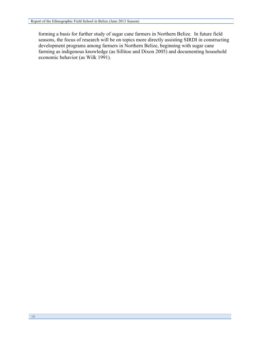forming a basis for further study of sugar cane farmers in Northern Belize. In future field seasons, the focus of research will be on topics more directly assisting SIRDI in constructing development programs among farmers in Northern Belize, beginning with sugar cane farming as indigenous knowledge (as Sillitoe and Dixon 2005) and documenting household economic behavior (as Wilk 1991).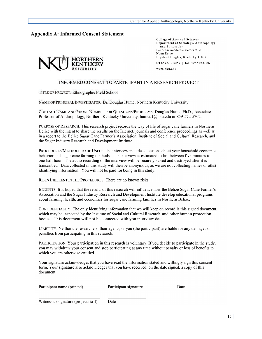#### **Appendix A: Informed Consent Statement**



**College of Arts and Sciences** Department of Sociology, Anthropology, and Philosophy Landrum Academic Center 217C Nunn Drive Highland Heights, Kentucky 41099 tel 859.572.5259 | fax 859.572.6086

www.nku.edu

#### INFORMED CONSENT TO PARTICIPANT IN A RESEARCH PROJECT

TITLE OF PROJECT: Ethnographic Field School

NAME OF PRINCIPAL INVESTIGATOR: Dr. Douglas Hume, Northern Kentucky University

CONTACT NAME AND PHONE NUMBER FOR QUESTIONS/PROBLEMS: Douglas Hume, Ph.D., Associate Professor of Anthropology, Northern Kentucky University, humed1@nku.edu or 859-572-5702.

PURPOSE OF RESEARCH: This research project records the way of life of sugar cane farmers in Northern Belize with the intent to share the results on the Internet, journals and conference proceedings as well as in a report to the Belize Sugar Cane Farmer's Association, Institute of Social and Cultural Research, and the Sugar Industry Research and Development Institute.

PROCEDURES/METHODS TO BE USED: The interview includes questions about your household economic behavior and sugar cane farming methods. The interview is estimated to last between five minutes to one-half hour. The audio recording of the interview will be securely stored and destroyed after it is transcribed. Data collected in this study will then be anonymous, as we are not collecting names or other identifying information. You will not be paid for being in this study.

RISKS INHERENT IN THE PROCEDURES: There are no known risks.

BENEFITS: It is hoped that the results of this research will influence how the Belize Sugar Cane Farmer's Association and the Sugar Industry Research and Development Institute develop educational programs about farming, health, and economics for sugar cane farming families in Northern Belize.

CONFIDENTIALITY: The only identifying information that we will keep on record is this signed document, which may be inspected by the Institute of Social and Cultural Research and other human protection bodies. This document will not be connected with you interview data.

LIABILITY: Neither the researchers, their agents, or you (the participant) are liable for any damages or penalties from participating in this research.

PARTICIPATION: Your participation in this research is voluntary. If you decide to participate in the study, you may withdraw your consent and stop participating at any time without penalty or loss of benefits to which you are otherwise entitled.

Your signature acknowledges that you have read the information stated and willingly sign this consent form. Your signature also acknowledges that you have received, on the date signed, a copy of this document.

| Participant name (printed)           | Participant signature | Date |
|--------------------------------------|-----------------------|------|
| Witness to signature (project staff) | Date                  |      |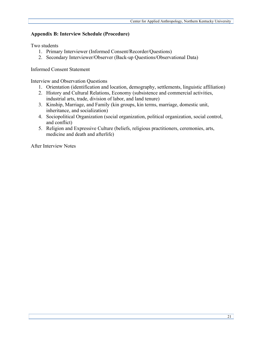# **Appendix B: Interview Schedule (Procedure)**

Two students

- 1. Primary Interviewer (Informed Consent/Recorder/Questions)
- 2. Secondary Interviewer/Observer (Back-up Questions/Observational Data)

Informed Consent Statement

Interview and Observation Questions

- 1. Orientation (identification and location, demography, settlements, linguistic affiliation)
- 2. History and Cultural Relations, Economy (subsistence and commercial activities, industrial arts, trade, division of labor, and land tenure)
- 3. Kinship, Marriage, and Family (kin groups, kin terms, marriage, domestic unit, inheritance, and socialization)
- 4. Sociopolitical Organization (social organization, political organization, social control, and conflict)
- 5. Religion and Expressive Culture (beliefs, religious practitioners, ceremonies, arts, medicine and death and afterlife)

After Interview Notes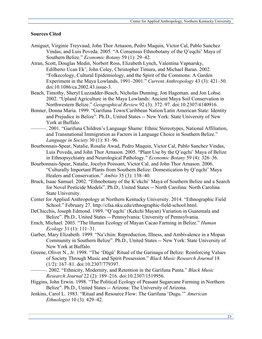#### **Sources Cited**

- Amiguet, Virginie Treyvaud, John Thor Arnason, Pedro Maquin, Victor Cal, Pablo Sanchez Vindas, and Luis Poveda. 2005. "A Consensus Ethnobotany of the Q'eqchi' Maya of Southern Belize." *Economic Botany* 59 (1): 29–42.
- Atran, Scott, Douglas Medin, Norbert Ross, Elizabeth Lynch, Valentina Vapnarsky, Edilberto Ucan Ek', John Coley, Christopher Timura, and Michael Baran. 2002. "Folkecology, Cultural Epidemiology, and the Spirit of the Commons: A Garden Experiment in the Maya Lowlands, 1991–2001." *Current Anthropology* 43 (3): 421–50. doi:10.1086/ca.2002.43.issue-3.
- Beach, Timothy, Sheryl Luzzadder-Beach, Nicholas Dunning, Jon Hageman, and Jon Lohse. 2002. "Upland Agriculture in the Maya Lowlands: Ancient Maya Soil Conservation in Northwestern Belize." *Geographical Review* 92 (3): 372–97. doi:10.2307/4140916.
- Bonner, Donna Maria. 1999. "Garifuna Town/Caribbean Nation/Latin American State: Identity and Prejudice in Belize". Ph.D., United States -- New York: State University of New York at Buffalo.
- ———. 2001. "Garifuna Children's Language Shame: Ethnic Stereotypes, National Affiliation, and Transnational Immigration as Factors in Language Choice in Southern Belize." *Language in Society* 30 (1): 81–96.
- Bourbonnais-Spear, Natalie, Rosalie Awad, Pedro Maquin, Victor Cal, Pablo Sanchez Vindas, Luis Poveda, and John Thor Arnason. 2005. "Plant Use by the Q'eqchi' Maya of Belize in Ethnopsychiatry and Neurological Pathology." *Economic Botany* 59 (4): 326–36.
- Bourbonnais-Spear, Natalie, Jocelyn Poissant, Victor Cal, and John Thor Arnason. 2006. "Culturally Important Plants from Southern Belize: Domestication by Q'eqchi' Maya Healers and Conservation." *Ambio* 35 (3): 138–40.
- Bruck, Isaac Samuel. 2002. "Ethnobotany of the K'ekchi' Maya of Southern Belize and a Search for Novel Pesticide Models". Ph.D., United States -- North Carolina: North Carolina State University.
- Center for Applied Anthropology at Northern Kentucky University. 2014. "Ethnographic Field School." February 27. http://cfaa.nku.edu/ethnographic-field-school.html.
- DeChicchis, Joseph Edmond. 1989. "Q'eqchi' (Kekchi Mayan) Variation in Guatemala and Belize". Ph.D., United States -- Pennsylvania: University of Pennsylvania.
- Emch, Michael. 2003. "The Human Ecology of Mayan Cacao Farming in Belize." *Human Ecology* 31 (1): 111–31.
- Garber, Mary Elizabeth. 1999. "Na'chiin: Reproduction, Illness, and Ambivalence in a Mopan Community in Southern Belize". Ph.D., United States -- New York: State University of New York at Buffalo.
- Greene, Oliver N., Jr. 1998. "The 'Dügü' Ritual of the Garinagu of Belize: Reinforcing Values of Society Through Music and Spirit Possession." *Black Music Research Journal* 18 (1/2): 167–81. doi:10.2307/779397.
	- ———. 2002. "Ethnicity, Modernity, and Retention in the Garifuna Punta." *Black Music Research Journal* 22 (2): 189–216. doi:10.2307/1519956.
- Higgins, John Erwin. 1998. "The Political Ecology of Peasant Sugarcane Farming in Northern Belize". Ph.D., United States -- Arizona: The University of Arizona.
- Jenkins, Carol L. 1983. "Ritual and Resource Flow: The Garifuna 'Dugu.'" *American Ethnologist* 10 (3): 429–42.